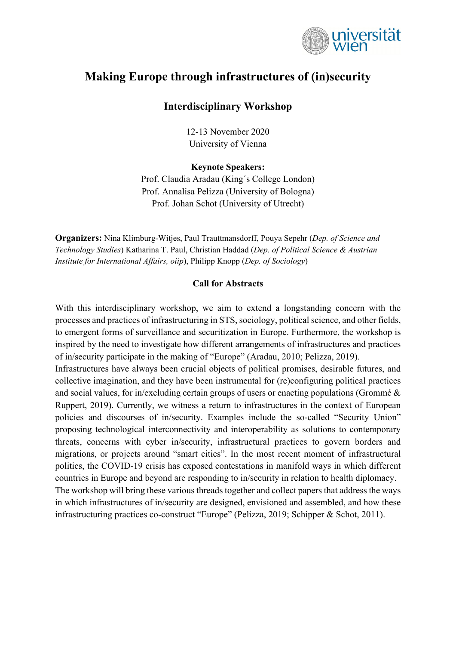

# **Making Europe through infrastructures of (in)security**

# **Interdisciplinary Workshop**

12-13 November 2020 University of Vienna

#### **Keynote Speakers:**

Prof. Claudia Aradau (King´s College London) Prof. Annalisa Pelizza (University of Bologna) Prof. Johan Schot (University of Utrecht)

**Organizers:** Nina Klimburg-Witjes, Paul Trauttmansdorff, Pouya Sepehr (*Dep. of Science and Technology Studies*) Katharina T. Paul, Christian Haddad (*Dep. of Political Science & Austrian Institute for International Affairs, oiip*), Philipp Knopp (*Dep. of Sociology*)

#### **Call for Abstracts**

With this interdisciplinary workshop, we aim to extend a longstanding concern with the processes and practices of infrastructuring in STS, sociology, political science, and other fields, to emergent forms of surveillance and securitization in Europe. Furthermore, the workshop is inspired by the need to investigate how different arrangements of infrastructures and practices of in/security participate in the making of "Europe" (Aradau, 2010; Pelizza, 2019).

Infrastructures have always been crucial objects of political promises, desirable futures, and collective imagination, and they have been instrumental for (re)configuring political practices and social values, for in/excluding certain groups of users or enacting populations (Grommé & Ruppert, 2019). Currently, we witness a return to infrastructures in the context of European policies and discourses of in/security. Examples include the so-called "Security Union" proposing technological interconnectivity and interoperability as solutions to contemporary threats, concerns with cyber in/security, infrastructural practices to govern borders and migrations, or projects around "smart cities". In the most recent moment of infrastructural politics, the COVID-19 crisis has exposed contestations in manifold ways in which different countries in Europe and beyond are responding to in/security in relation to health diplomacy. The workshop will bring these various threads together and collect papers that address the ways in which infrastructures of in/security are designed, envisioned and assembled, and how these

infrastructuring practices co-construct "Europe" (Pelizza, 2019; Schipper & Schot, 2011).